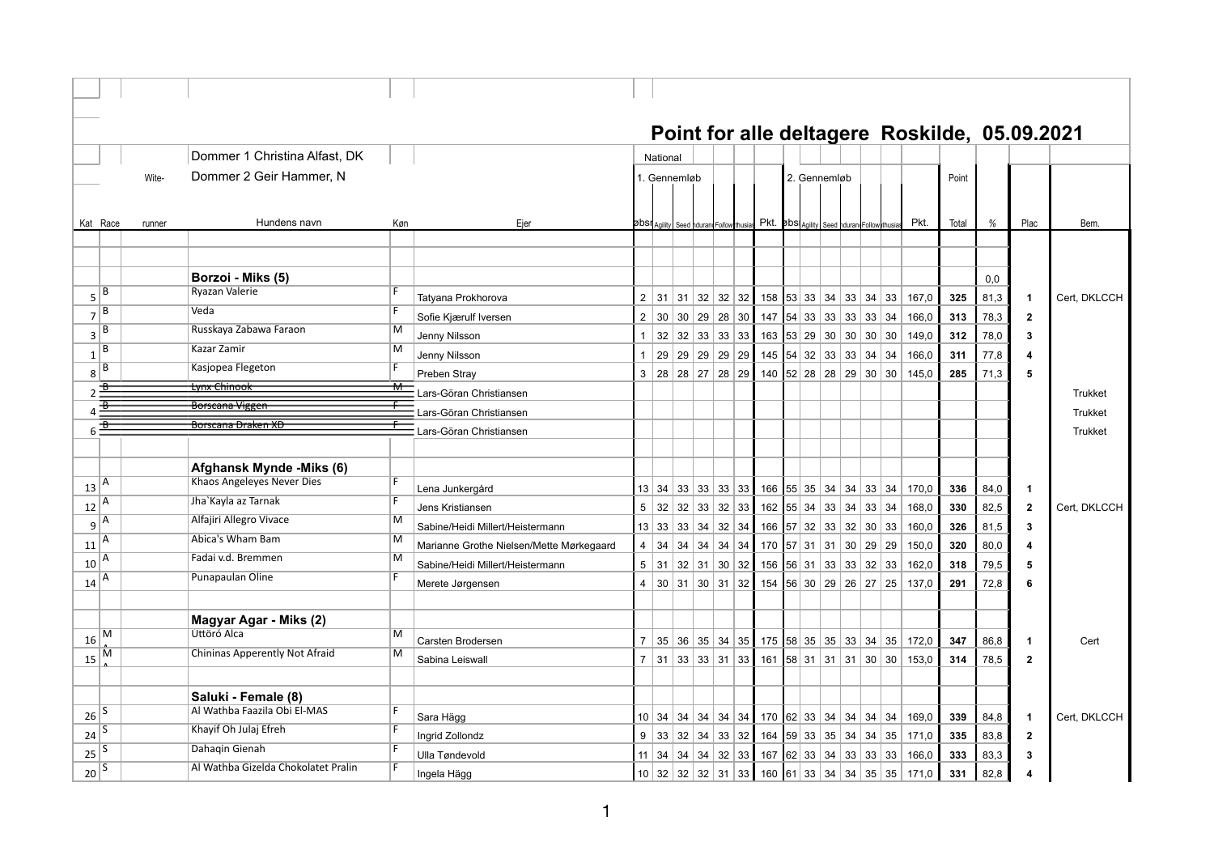|                |          |        |                                                     |     |                                          |                 |             |                                                  |             |                                                                                                      |              |  |       |          |       |       |      | Point for alle deltagere Roskilde, 05.09.2021 |                |
|----------------|----------|--------|-----------------------------------------------------|-----|------------------------------------------|-----------------|-------------|--------------------------------------------------|-------------|------------------------------------------------------------------------------------------------------|--------------|--|-------|----------|-------|-------|------|-----------------------------------------------|----------------|
|                |          |        | Dommer 1 Christina Alfast, DK                       |     |                                          |                 | National    |                                                  |             |                                                                                                      |              |  |       |          |       |       |      |                                               |                |
|                |          | Wite-  | Dommer 2 Geir Hammer, N                             |     |                                          |                 |             | 1. Gennemløb                                     |             |                                                                                                      | 2. Gennemløb |  |       |          |       | Point |      |                                               |                |
|                |          |        |                                                     |     |                                          |                 |             |                                                  |             |                                                                                                      |              |  |       |          |       |       |      |                                               |                |
|                |          |        | Hundens navn                                        |     |                                          |                 |             |                                                  |             |                                                                                                      |              |  |       |          | Pkt.  |       |      | Plac                                          |                |
|                | Kat Race | runner |                                                     | Køn | Ejer                                     |                 |             | <b>ØbSII</b> Agility Seed ndurant Follow thusias |             | Pkt. 5bs Agility Seed hduran Follow                                                                  |              |  |       |          |       | Total | %    |                                               | Bem.           |
|                |          |        |                                                     |     |                                          |                 |             |                                                  |             |                                                                                                      |              |  |       |          |       |       |      |                                               |                |
|                |          |        | Borzoi - Miks (5)                                   |     |                                          |                 |             |                                                  |             |                                                                                                      |              |  |       |          |       |       | 0,0  |                                               |                |
| 5              | В        |        | Ryazan Valerie                                      | F   |                                          |                 |             |                                                  |             | $2$ 31 31 32 32 32 158 53 33 34 33 34                                                                |              |  |       |          |       |       |      |                                               |                |
|                | B        |        | Veda                                                |     | Tatyana Prokhorova                       |                 |             |                                                  |             |                                                                                                      |              |  |       | 33       | 167,0 | 325   | 81,3 | 1                                             | Cert, DKLCCH   |
| $\overline{7}$ | B        |        | Russkaya Zabawa Faraon                              | M   | Sofie Kjærulf Iversen                    | $\overline{2}$  | 30          |                                                  | 30 29 28 30 | $147$ 54 33 33 33 33 34                                                                              |              |  |       |          | 166,0 | 313   | 78,3 | $\mathbf{2}$                                  |                |
| 3              | B        |        | Kazar Zamir                                         | М   | Jenny Nilsson                            | $\mathbf{1}$    | 32          |                                                  | 32 33 33 33 | 163 $ 53 29 30 30 30 30$                                                                             |              |  |       |          | 149,0 | 312   | 78,0 | 3                                             |                |
| $\mathbf{1}$   | B        |        | Kasjopea Flegeton                                   |     | Jenny Nilsson                            | $\mathbf{1}$    |             | 29 29 29 29 29                                   |             |                                                                                                      |              |  |       |          | 166,0 | 311   | 77,8 | $\overline{\mathbf{A}}$                       |                |
| 8              | 子        |        | <del>Lynx Chinook</del>                             |     | Preben Stray                             |                 |             | 3   28   28   27   28   29                       |             | 140   52   28   28   29   30   30                                                                    |              |  |       |          | 145.0 | 285   | 71,3 | 5                                             |                |
|                |          |        | Borscana Viggen                                     |     | Lars-Göran Christiansen                  |                 |             |                                                  |             |                                                                                                      |              |  |       |          |       |       |      |                                               | <b>Trukket</b> |
| Δ              |          |        | Borscana Draken XD                                  |     | Lars-Göran Christiansen                  |                 |             |                                                  |             |                                                                                                      |              |  |       |          |       |       |      |                                               | <b>Trukket</b> |
| 6              | ⋥        |        |                                                     |     | Lars-Göran Christiansen                  |                 |             |                                                  |             |                                                                                                      |              |  |       |          |       |       |      |                                               | <b>Trukket</b> |
|                |          |        |                                                     |     |                                          |                 |             |                                                  |             |                                                                                                      |              |  |       |          |       |       |      |                                               |                |
|                |          |        | Afghansk Mynde -Miks (6)                            |     |                                          |                 |             |                                                  |             |                                                                                                      |              |  |       |          |       |       |      |                                               |                |
| 13             | Α        |        | Khaos Angeleyes Never Dies                          | F   | Lena Junkergård                          |                 |             |                                                  |             | $13 \mid 34 \mid 33 \mid 33 \mid 33 \mid 33$ 166 55 35 34 34 33 34                                   |              |  |       |          | 170,0 | 336   | 84,0 | 1                                             |                |
| 12             | A        |        | Jha'Kayla az Tarnak                                 |     | Jens Kristiansen                         | 5               | 32          |                                                  |             | 32   33   32   33   162   55   34   33                                                               |              |  | 34 33 | 34       | 168.0 | 330   | 82,5 | $\mathbf{2}$                                  | Cert. DKLCCH   |
| 9              | Α        |        | Alfajiri Allegro Vivace                             | M   | Sabine/Heidi Millert/Heistermann         |                 |             |                                                  |             | $13 \mid 33 \mid 33 \mid 34 \mid 32 \mid 34 \mid 166 \mid 57 \mid 32 \mid 33$                        |              |  |       | 32 30 33 | 160,0 | 326   | 81,5 | 3                                             |                |
| 11             | A        |        | Abica's Wham Bam                                    | M   | Marianne Grothe Nielsen/Mette Mørkegaard | $\overline{4}$  | 34          |                                                  |             | $34$ 34 34 34 34 170 57 31 31 30 29 29                                                               |              |  |       |          | 150,0 | 320   | 80,0 | 4                                             |                |
| 10             | A        |        | Fadai v.d. Bremmen                                  | M   | Sabine/Heidi Millert/Heistermann         | $5^{\circ}$     | 31          |                                                  |             | 32   31   30   32   156   56   31   33   33   32                                                     |              |  |       | 33       | 162,0 | 318   | 79,5 | 5                                             |                |
| 14             | A        |        | Punapaulan Oline                                    | F   | Merete Jørgensen                         |                 |             |                                                  |             | $4 \mid 30 \mid 31 \mid 30 \mid 31 \mid 32 \mid 154 \mid 56 \mid 30 \mid 29 \mid 26 \mid 27 \mid 25$ |              |  |       |          | 137,0 | 291   | 72,8 | 6                                             |                |
|                |          |        |                                                     |     |                                          |                 |             |                                                  |             |                                                                                                      |              |  |       |          |       |       |      |                                               |                |
|                |          |        | Magyar Agar - Miks (2)                              |     |                                          |                 |             |                                                  |             |                                                                                                      |              |  |       |          |       |       |      |                                               |                |
| 16             | M        |        | Úttöró Alca                                         | M   | Carsten Brodersen                        |                 |             |                                                  |             | 7 35 36 35 34 35 175 58 35 35 33 34 35                                                               |              |  |       |          |       | 347   | 86,8 |                                               |                |
|                | M        |        | Chininas Apperently Not Afraid                      | M   |                                          |                 |             |                                                  |             |                                                                                                      |              |  |       |          | 172,0 |       |      | $\mathbf{1}$                                  | Cert           |
| 15             |          |        |                                                     |     | Sabina Leiswall                          |                 |             |                                                  |             | $7$   31   33   33   31   33   161   58   31   31   31   30   30                                     |              |  |       |          | 153,0 | 314   | 78,5 | $\overline{2}$                                |                |
|                |          |        |                                                     |     |                                          |                 |             |                                                  |             |                                                                                                      |              |  |       |          |       |       |      |                                               |                |
|                | S        |        | Saluki - Female (8)<br>Al Wathba Faazila Obi El-MAS | F.  |                                          |                 |             |                                                  |             |                                                                                                      |              |  |       |          |       |       |      |                                               |                |
| 26             | S        |        | Khayif Oh Julaj Efreh                               | F   | Sara Hägg                                |                 | 10 34       |                                                  |             | $34$ 34 34 34 34 170 62 33 34 34 34                                                                  |              |  |       | 34       | 169,0 | 339   | 84,8 | 1                                             | Cert. DKLCCH   |
| 24             |          |        | Dahaqin Gienah                                      |     | Ingrid Zollondz                          |                 | $9 \mid 33$ |                                                  |             | 32   34   33   32   164   59   33   35   34   34   35                                                |              |  |       |          | 171,0 | 335   | 83,8 | $\overline{\mathbf{2}}$                       |                |
| 25             | S        |        |                                                     |     | Ulla Tøndevold                           | 11 <sup>1</sup> | 34          |                                                  |             | 34   34   32   33   167   62   33   34   33   33   33                                                |              |  |       |          | 166,0 | 333   | 83,3 | 3                                             |                |
| 20             | S        |        | Al Wathba Gizelda Chokolatet Pralin                 | F.  | Ingela Hägg                              |                 |             |                                                  |             | $10 32 32 32 31 33 160 61 33 34 34 35 35$                                                            |              |  |       |          | 171,0 | 331   | 82,8 | 4                                             |                |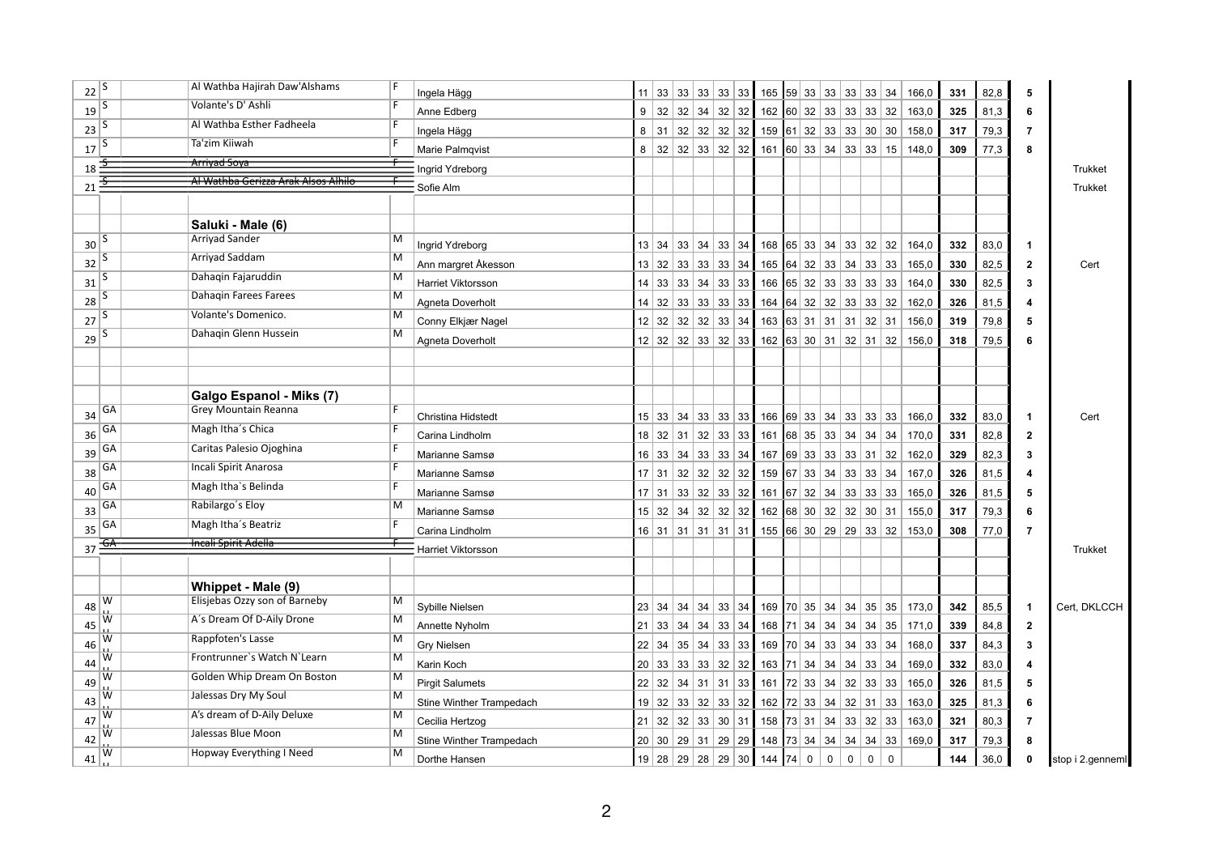|    | $\sqrt{22}$ <sup>S</sup>    | Al Wathba Hajirah Daw'Alshams       | Ingela Hägg                   |                 |         |                                                   |  | 11   33   33   33   33   33   165   59   33   33   33   33   34               |  |                              |                |                                   |             | 166,0 | 331 | 82,8 | 5                       |                  |
|----|-----------------------------|-------------------------------------|-------------------------------|-----------------|---------|---------------------------------------------------|--|-------------------------------------------------------------------------------|--|------------------------------|----------------|-----------------------------------|-------------|-------|-----|------|-------------------------|------------------|
|    | $\mathbf{19}$ $\sqrt{5}$    | Volante's D' Ashli                  | Anne Edberg                   | 9               |         | $32 \mid 32$                                      |  | $ 34 32 32$ 162 60 32 33 33 33                                                |  |                              |                |                                   | 32          | 163,0 | 325 | 81,3 | 6                       |                  |
|    | $\sqrt{23}$ <sup>5</sup>    | Al Wathba Esther Fadheela           | Ingela Hägg                   | 8               | 31      |                                                   |  | $32 \mid 32 \mid 32 \mid 32 \mid 159 \mid 61 \mid 32 \mid 33 \mid 33 \mid 30$ |  |                              |                |                                   | 30          | 158,0 | 317 | 79,3 | $\overline{7}$          |                  |
|    | $17\overline{\frac{3}{5}}$  | Ta'zim Kiiwah                       | Marie Palmqvist               | 8               |         |                                                   |  | $32$ 32 33 32 32 161 60 33 34 33 33 15                                        |  |                              |                |                                   |             | 148,0 | 309 | 77,3 | 8                       |                  |
| 18 | ÷                           | <del>Arriyad Soya</del>             | Ingrid Ydreborg               |                 |         |                                                   |  |                                                                               |  |                              |                |                                   |             |       |     |      |                         | <b>Trukket</b>   |
|    | $21 - \frac{2}{5}$          | Al Wathba Gerizza Arak Alsos Alhilo | Sofie Alm                     |                 |         |                                                   |  |                                                                               |  |                              |                |                                   |             |       |     |      |                         | <b>Trukket</b>   |
|    |                             |                                     |                               |                 |         |                                                   |  |                                                                               |  |                              |                |                                   |             |       |     |      |                         |                  |
|    |                             | Saluki - Male (6)                   |                               |                 |         |                                                   |  |                                                                               |  |                              |                |                                   |             |       |     |      |                         |                  |
|    | $30\sqrt{5}$                | <b>Arriyad Sander</b>               | M<br>Ingrid Ydreborg          |                 |         | $13 \mid 34 \mid 33 \mid 34 \mid 33 \mid 34 \mid$ |  | 168 65 33 34 33 32 32                                                         |  |                              |                |                                   |             | 164,0 | 332 | 83,0 | -1                      |                  |
|    | $32\sqrt{5}$                | Arriyad Saddam                      | M<br>Ann margret Åkesson      |                 |         | 13 32 33 33 33 34                                 |  | 165 64 32 33 34 33                                                            |  |                              |                |                                   | 33          | 165,0 | 330 | 82,5 | $\mathbf{2}$            | Cert             |
|    | $31\overline{\smash{)}\,5}$ | Dahaqin Fajaruddin                  | м<br>Harriet Viktorsson       | 14              |         | 33 33 34 33 33                                    |  | $166$ 65 32 33 33 33                                                          |  |                              |                |                                   | 33          | 164,0 | 330 | 82,5 | 3                       |                  |
|    | $\frac{28}{5}$              | Dahagin Farees Farees               | M<br>Agneta Doverholt         | 14              |         |                                                   |  | 32   33   33   33   33   164   64   32   32   33   33                         |  |                              |                |                                   | 32          | 162,0 | 326 | 81,5 | Δ                       |                  |
|    | $27\sqrt{5}$                | Volante's Domenico.                 | м<br>Conny Elkjær Nagel       | 12 <sup>1</sup> |         | 32 32 32 33 34                                    |  | $163$ 63 31 31 31                                                             |  |                              |                | 32                                | 31          | 156,0 | 319 | 79,8 | 5                       |                  |
|    | $\frac{29}{5}$              | Dahagin Glenn Hussein               | М<br>Agneta Doverholt         |                 |         |                                                   |  | $12$ 32 32 33 32 33 462 63 30 31 32 31 32                                     |  |                              |                |                                   |             | 156.0 | 318 | 79,5 | 6                       |                  |
|    |                             |                                     |                               |                 |         |                                                   |  |                                                                               |  |                              |                |                                   |             |       |     |      |                         |                  |
|    |                             |                                     |                               |                 |         |                                                   |  |                                                                               |  |                              |                |                                   |             |       |     |      |                         |                  |
|    |                             | Galgo Espanol - Miks (7)            |                               |                 |         |                                                   |  |                                                                               |  |                              |                |                                   |             |       |     |      |                         |                  |
| 34 | GA                          | <b>Grey Mountain Reanna</b>         | Christina Hidstedt            |                 |         |                                                   |  | 15 33 34 33 33 33 166 69 33 34 33 33 33                                       |  |                              |                |                                   |             | 166,0 | 332 | 83,0 | $\overline{\mathbf{1}}$ | Cert             |
| 36 | GA                          | Magh Itha's Chica                   | Carina Lindholm               |                 |         | $18$ 32 31 32 33 33                               |  | 161 68 35 33 34 34 34                                                         |  |                              |                |                                   |             | 170,0 | 331 | 82,8 | $\mathbf{2}$            |                  |
| 39 | GA                          | Caritas Palesio Ojoghina            | Marianne Samsø                | 16              |         | 33   34   33   33   34                            |  | 167 69 33 33 33 31 32                                                         |  |                              |                |                                   |             | 162,0 | 329 | 82,3 | 3                       |                  |
| 38 | GA                          | Incali Spirit Anarosa               | Marianne Samsø                |                 |         |                                                   |  | $17$   31   32   32   32   32   159   67   33   34   33   33                  |  |                              |                |                                   | 34          | 167,0 | 326 | 81,5 | 4                       |                  |
| 40 | GA                          | Magh Itha's Belinda                 | Marianne Samsø                |                 | $17$ 31 |                                                   |  | $33$ 32 33 32 161 67 32 34                                                    |  |                              | 33             | 33                                | 33          | 165,0 | 326 | 81,5 | 5                       |                  |
| 33 | GA                          | Rabilargo's Eloy                    | м<br>Marianne Samsø           |                 |         |                                                   |  | $15$ 32 34 32 32 32 162 68 30 32 32 30                                        |  |                              |                |                                   | 31          | 155,0 | 317 | 79,3 | 6                       |                  |
| 35 | GА                          | Magh Itha's Beatriz                 | Carina Lindholm               |                 |         |                                                   |  | 16 31 31 31 31 31 31 455 66 30 29 29 33 32                                    |  |                              |                |                                   |             | 153,0 | 308 | 77,0 | $\overline{7}$          |                  |
|    | $37 \frac{\overline{GA}}{}$ | Incali Spirit Adella                | Harriet Viktorsson            |                 |         |                                                   |  |                                                                               |  |                              |                |                                   |             |       |     |      |                         | <b>Trukket</b>   |
|    |                             |                                     |                               |                 |         |                                                   |  |                                                                               |  |                              |                |                                   |             |       |     |      |                         |                  |
|    |                             | Whippet - Male (9)                  |                               |                 |         |                                                   |  |                                                                               |  |                              |                |                                   |             |       |     |      |                         |                  |
| 48 | W                           | Elisjebas Ozzy son of Barneby       | M<br>Sybille Nielsen          |                 |         | 23 34 34 34 34 33 34                              |  |                                                                               |  |                              |                | 169   70   35   34   34   35   35 |             | 173,0 | 342 | 85,5 | -1                      | Cert, DKLCCH     |
| 45 | w                           | A's Dream Of D-Aily Drone           | М<br>Annette Nyholm           |                 |         | $21 \mid 33 \mid 34 \mid 34 \mid 33 \mid 34$      |  |                                                                               |  | 168   71   34   34   34   34 |                |                                   | 35          | 171,0 | 339 | 84,8 | $\overline{2}$          |                  |
| 46 | W                           | Rappfoten's Lasse                   | M<br>Gry Nielsen              | 22              |         | 34   35   34   33   33                            |  |                                                                               |  | 169   70   34   33   34   33 |                |                                   | 34          | 168,0 | 337 | 84,3 | 3                       |                  |
| 44 | W                           | Frontrunner's Watch N'Learn         | М<br>Karin Koch               | 20 <sub>1</sub> |         | 33   33   33   32   32                            |  | 163 71 34 34                                                                  |  |                              | 34 33          |                                   | 34          | 169,0 | 332 | 83,0 | 4                       |                  |
| 49 | W                           | Golden Whip Dream On Boston         | M<br><b>Pirgit Salumets</b>   | 22              |         | 32 34 31 31 33                                    |  | 161 72 33 34                                                                  |  |                              | 32 33          |                                   | 33          | 165,0 | 326 | 81,5 | 5                       |                  |
| 43 | w                           | Jalessas Dry My Soul                | M<br>Stine Winther Trampedach | 19              |         | 32 33 32 33 32                                    |  | 162   72   33   34   32   31                                                  |  |                              |                |                                   | 33          | 163,0 | 325 | 81,3 | 6                       |                  |
| 47 | W                           | A's dream of D-Aily Deluxe          | M<br>Cecilia Hertzog          |                 |         |                                                   |  | 21 32 32 33 30 31 158 73 31 34 33 32 33                                       |  |                              |                |                                   |             | 163,0 | 321 | 80,3 | $\overline{7}$          |                  |
| 42 | W                           | Jalessas Blue Moon                  | м<br>Stine Winther Trampedach |                 |         |                                                   |  | 20 30 29 31 29 29 148 73 34 34                                                |  |                              |                | 34 34 33                          |             | 169,0 | 317 | 79,3 | 8                       |                  |
| 41 | W                           | Hopway Everything I Need            | м<br>Dorthe Hansen            |                 |         |                                                   |  | 19 28 29 28 29 30 144 74 0                                                    |  | 0 <sup>1</sup>               | $\overline{0}$ | 0 <sup>1</sup>                    | $\mathbf 0$ |       | 144 | 36,0 | 0                       | stop i 2.genneml |
|    |                             |                                     |                               |                 |         |                                                   |  |                                                                               |  |                              |                |                                   |             |       |     |      |                         |                  |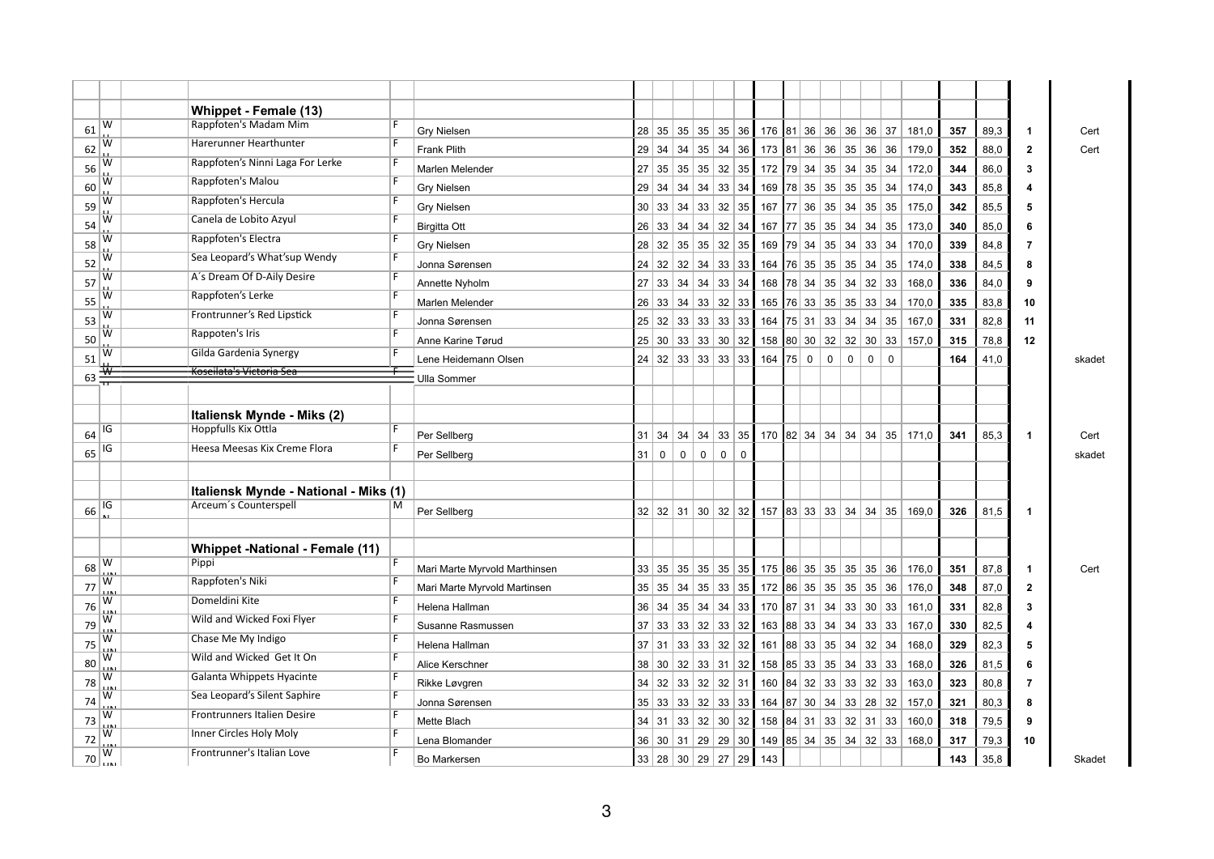|    |               | Whippet - Female (13)                 |                |                               |    |                                      |                |             |                                                   |             |                                            |  |                                   |             |                            |       |     |      |                      |        |
|----|---------------|---------------------------------------|----------------|-------------------------------|----|--------------------------------------|----------------|-------------|---------------------------------------------------|-------------|--------------------------------------------|--|-----------------------------------|-------------|----------------------------|-------|-----|------|----------------------|--------|
| 61 | W             | Rappfoten's Madam Mim                 |                | <b>Gry Nielsen</b>            |    |                                      |                |             |                                                   |             | 28 35 35 35 35 36 36 476 81 36 36 36 36 37 |  |                                   |             |                            | 181,0 | 357 | 89,3 | $\mathbf{1}$         | Cert   |
| 62 | W             | Harerunner Hearthunter                |                | <b>Frank Plith</b>            |    | $29 \mid 34 \mid 34 \mid$            |                | 35          | 34                                                | 36          | 173   81   36   36   35   36               |  |                                   |             | 36                         | 179,0 | 352 | 88,0 | $\mathbf{2}$         | Cert   |
| 56 | w             | Rappfoten's Ninni Laga For Lerke      |                | Marlen Melender               |    |                                      |                |             | $27 \mid 35 \mid 35 \mid 35 \mid 32 \mid 35 \mid$ |             | 172   79   34   35   34   35               |  |                                   |             | 34                         | 172,0 | 344 | 86,0 | 3                    |        |
| 60 | w             | Rappfoten's Malou                     |                | <b>Gry Nielsen</b>            |    | 29 34                                | 34 34          |             | $33 \mid 34 \mid$                                 |             |                                            |  | 169   78   35   35   35   35   34 |             |                            | 174,0 | 343 | 85,8 | 4                    |        |
| 59 | w             | Rappfoten's Hercula                   |                | <b>Gry Nielsen</b>            |    | 30 33 34 33                          |                |             | 32 35                                             |             |                                            |  | 167   77   36   35   34   35   35 |             |                            | 175,0 | 342 | 85,5 | 5                    |        |
| 54 | w             | Canela de Lobito Azyul                |                | <b>Birgitta Ott</b>           |    | 26 33 34 34                          |                |             | $32 \mid 34 \mid$                                 |             |                                            |  | 167   77   35   35   34   34   35 |             |                            | 173,0 | 340 | 85,0 | 6                    |        |
| 58 | w             | Rappfoten's Electra                   |                | <b>Gry Nielsen</b>            |    |                                      |                |             | 28 32 35 35 32 35                                 |             |                                            |  | 169   79   34   35   34   33      |             | $\vert 34 \vert$           | 170,0 | 339 | 84,8 | 7                    |        |
| 52 | w             | Sea Leopard's What'sup Wendy          | F              | Jonna Sørensen                | 24 | 32 32 34                             |                |             | 33                                                | 33          | 164                                        |  | 76 35 35 35                       |             | 34<br>35                   | 174.0 | 338 | 84.5 | 8                    |        |
| 57 | W             | A's Dream Of D-Aily Desire            | F              | Annette Nyholm                | 27 | $33 \mid 34$                         |                | 34          | 33                                                | 34          |                                            |  | 168   78   34   35   34           |             | 32<br>33                   | 168,0 | 336 | 84,0 | 9                    |        |
| 55 | W             | Rappfoten's Lerke                     | F              | Marlen Melender               | 26 | 33                                   | 34             | 33          | 32                                                | 33          | 165 76 33 35 35                            |  |                                   |             | 33<br>34                   | 170,0 | 335 | 83,8 | 10                   |        |
| 53 | W             | Frontrunner's Red Lipstick            | F              | Jonna Sørensen                |    | $25 \mid 32 \mid 33 \mid 33 \mid$    |                |             | 33                                                | 33          | $164$ 75 31 33 34                          |  |                                   |             | 34<br>35                   | 167,0 | 331 | 82,8 | 11                   |        |
| 50 | w             | Rappoten's Iris                       |                | Anne Karine Tørud             |    | $25 \mid 30 \mid 33 \mid 33 \mid 30$ |                |             |                                                   | 32          |                                            |  | 158 80 30 32 32                   |             | 30 33                      | 157,0 | 315 | 78,8 | 12                   |        |
| 51 | w             | Gilda Gardenia Synergy                |                | Lene Heidemann Olsen          |    |                                      |                |             | 24 32 33 33 33 33                                 |             | $164$ 75 0                                 |  | $\mathbf 0$                       | $\mathbf 0$ | $\mathbf 0$<br>$\mathbf 0$ |       | 164 | 41,0 |                      | skadet |
| 63 | $\frac{1}{2}$ | Koseilata's Victoria Sea              |                | Ulla Sommer                   |    |                                      |                |             |                                                   |             |                                            |  |                                   |             |                            |       |     |      |                      |        |
|    |               |                                       |                |                               |    |                                      |                |             |                                                   |             |                                            |  |                                   |             |                            |       |     |      |                      |        |
|    |               | Italiensk Mynde - Miks (2)            |                |                               |    |                                      |                |             |                                                   |             |                                            |  |                                   |             |                            |       |     |      |                      |        |
| 64 | IG            | Hoppfulls Kix Ottla                   |                | Per Sellberg                  |    |                                      |                |             | $31 \mid 34 \mid 34 \mid 34 \mid 33 \mid 35 \mid$ |             |                                            |  | 170   82   34   34   34   34   35 |             |                            | 171,0 | 341 | 85,3 | $\mathbf{1}$         | Cert   |
| 65 | IG            | Heesa Meesas Kix Creme Flora          | F              | Per Sellberg                  | 31 | $\mathbf 0$                          | $\overline{0}$ | $\mathbf 0$ | 0                                                 | $\mathbf 0$ |                                            |  |                                   |             |                            |       |     |      |                      | skadet |
|    |               |                                       |                |                               |    |                                      |                |             |                                                   |             |                                            |  |                                   |             |                            |       |     |      |                      |        |
|    |               | Italiensk Mynde - National - Miks (1) |                |                               |    |                                      |                |             |                                                   |             |                                            |  |                                   |             |                            |       |     |      |                      |        |
| 66 | IG            | Arceum's Counterspell                 | М              | Per Sellberg                  |    |                                      |                |             |                                                   |             | 32 32 31 30 32 32 35 36 33 34 34 35        |  |                                   |             |                            | 169,0 | 326 | 81,5 | $\blacktriangleleft$ |        |
|    |               |                                       |                |                               |    |                                      |                |             |                                                   |             |                                            |  |                                   |             |                            |       |     |      |                      |        |
|    |               | Whippet -National - Female (11)       |                |                               |    |                                      |                |             |                                                   |             |                                            |  |                                   |             |                            |       |     |      |                      |        |
| 68 | W             | Pippi                                 |                | Mari Marte Myrvold Marthinsen |    |                                      |                |             |                                                   |             | 33 35 35 35 35 35 35 475 86 35 35 35 35 36 |  |                                   |             |                            | 176.0 | 351 | 87,8 | $\blacktriangleleft$ | Cert   |
| 77 | w             | Rappfoten's Niki                      |                | Mari Marte Myrvold Martinsen  |    |                                      |                |             | $35 \mid 35 \mid 34 \mid 35 \mid 33 \mid 35$      |             | 172   86   35   35   35   35   36          |  |                                   |             |                            | 176,0 | 348 | 87,0 | $\mathbf{2}$         |        |
| 76 | W             | Domeldini Kite                        | F              | Helena Hallman                |    |                                      |                |             | $36 \mid 34 \mid 35 \mid 34 \mid 34 \mid 33 \mid$ |             | 170   87   31   34   33   30   33          |  |                                   |             |                            | 161,0 | 331 | 82,8 | 3                    |        |
| 79 | w             | Wild and Wicked Foxi Flyer            | F              | Susanne Rasmussen             |    | 37 33 33 32                          |                |             | 33 32                                             |             | 163 88 33 34 34                            |  |                                   |             | 33<br>33                   | 167,0 | 330 | 82,5 | 4                    |        |
| 75 | w             | Chase Me My Indigo                    | F              | Helena Hallman                | 37 | 31                                   | 33             | 33          | 32                                                | 32          |                                            |  | 161   88   33   35   34           |             | 32<br>34                   | 168,0 | 329 | 82,3 | 5                    |        |
| 80 | W             | Wild and Wicked Get It On             | $\overline{F}$ | Alice Kerschner               | 38 | 30                                   |                |             | 32 33 31 32                                       |             |                                            |  | 158 85 33 35 34                   |             | 33<br>33                   | 168,0 | 326 | 81,5 | 6                    |        |
| 78 | W             | Galanta Whippets Hyacinte             | F              | Rikke Løvgren                 | 34 | 32                                   | 33             | 32          | 32                                                | 31          |                                            |  | 160   84   32   33   33   32      |             | 33                         | 163,0 | 323 | 80,8 | 7                    |        |
| 74 | w             | Sea Leopard's Silent Saphire          |                | Jonna Sørensen                |    | $35 \mid 33 \mid 33 \mid 32 \mid$    |                |             | 33                                                | 33          |                                            |  | 164   87   30   34   33   28      |             | 32                         | 157,0 | 321 | 80,3 | 8                    |        |
| 73 | w             | <b>Frontrunners Italien Desire</b>    |                | Mette Blach                   |    | 34 31                                | 33   32        |             | 30                                                | 32          |                                            |  | 158   84   31   33   32   31   33 |             |                            | 160,0 | 318 | 79,5 | 9                    |        |
| 72 | w             | Inner Circles Holy Moly               |                | Lena Blomander                |    |                                      |                |             | 36 30 31 29 29 30                                 |             | 149   85   34   35   34   32   33          |  |                                   |             |                            | 168,0 | 317 | 79,3 | 10                   |        |
| 70 | W             | Frontrunner's Italian Love            |                | Bo Markersen                  |    |                                      |                |             | 33   28   30   29   27   29                       |             | 143                                        |  |                                   |             |                            |       | 143 | 35,8 |                      | Skadet |
|    |               |                                       |                |                               |    |                                      |                |             |                                                   |             |                                            |  |                                   |             |                            |       |     |      |                      |        |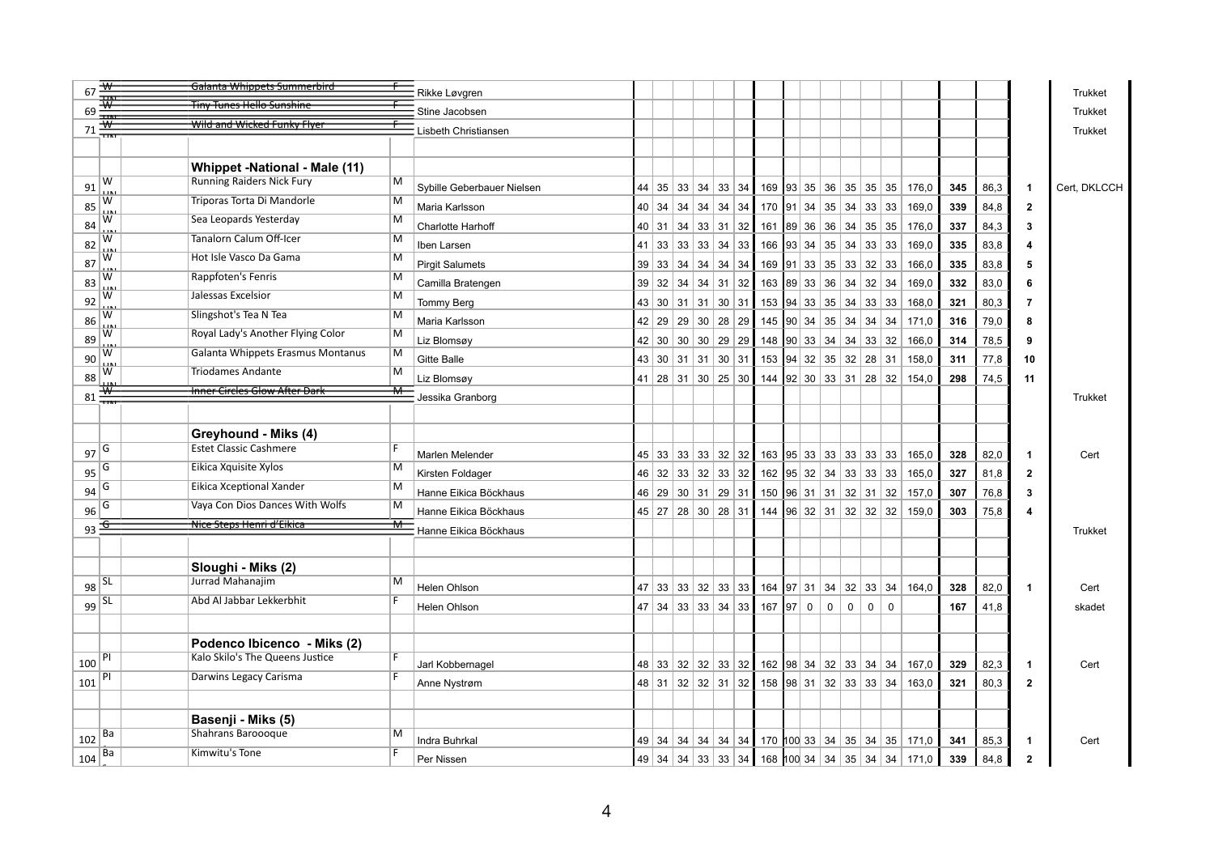| 67  | ₩                       | Galanta Whippets Summerbird          |                | Rikke Løvgren              |    |    |                   |             |                                                                 |          |                              |                                   |              |                                                  |     |      |                         | Trukket        |
|-----|-------------------------|--------------------------------------|----------------|----------------------------|----|----|-------------------|-------------|-----------------------------------------------------------------|----------|------------------------------|-----------------------------------|--------------|--------------------------------------------------|-----|------|-------------------------|----------------|
| 69  |                         | <u>Tiny Tunes Hello Sunshine</u>     |                | Stine Jacobsen             |    |    |                   |             |                                                                 |          |                              |                                   |              |                                                  |     |      |                         | <b>Trukket</b> |
| 71  |                         | Wild and Wicked Funky Flyer          |                | Lisbeth Christiansen       |    |    |                   |             |                                                                 |          |                              |                                   |              |                                                  |     |      |                         | Trukket        |
|     |                         |                                      |                |                            |    |    |                   |             |                                                                 |          |                              |                                   |              |                                                  |     |      |                         |                |
|     |                         | <b>Whippet -National - Male (11)</b> |                |                            |    |    |                   |             |                                                                 |          |                              |                                   |              |                                                  |     |      |                         |                |
| 91  | W                       | <b>Running Raiders Nick Fury</b>     | M              | Sybille Geberbauer Nielsen |    |    |                   |             |                                                                 |          |                              |                                   |              | 44 35 33 34 33 34 169 33 35 36 35 35 35 36 176,0 | 345 | 86,3 | $\mathbf 1$             | Cert, DKLCCH   |
| 85  | W                       | Triporas Torta Di Mandorle           | M              | Maria Karlsson             | 40 |    |                   |             | 34   34   34   34   34   170   91   34                          |          | $35 \mid 34$                 |                                   | 33 33        | 169,0                                            | 339 | 84,8 | $\overline{\mathbf{2}}$ |                |
| 84  | W                       | Sea Leopards Yesterday               | M              | <b>Charlotte Harhoff</b>   | 40 |    |                   |             | $31$ 34 33 31 32 161 89 36 36 34                                |          |                              |                                   | 35   35      | 176,0                                            | 337 | 84,3 | $\overline{\mathbf{3}}$ |                |
| 82  | W                       | Tanalorn Calum Off-Icer              | M              | Iben Larsen                | 41 |    | 33 33 33 34 33    |             | 166                                                             |          | 93 34 35 34                  |                                   | 33 33        | 169,0                                            | 335 | 83,8 | 4                       |                |
| 87  | W                       | Hot Isle Vasco Da Gama               | М              | <b>Pirgit Salumets</b>     | 39 |    | $33$ 34 34 34 34  |             | 169                                                             |          |                              | $ 91 $ 33   35   33   32   33     |              | 166,0                                            | 335 | 83,8 | 5                       |                |
| 83  | w                       | Rappfoten's Fenris                   | M              | Camilla Bratengen          | 39 |    | $32$ 34 34 31 32  |             | 163                                                             | 89 33 36 |                              | 34                                | $32 \mid 34$ | 169,0                                            | 332 | 83,0 | 6                       |                |
| 92  | W                       | Jalessas Excelsior                   | M              | Tommy Berg                 | 43 |    | 30 31 31 30 31    |             | 153                                                             |          | $94 \mid 33 \mid 35 \mid 34$ | 33                                | 33           | 168,0                                            | 321 | 80,3 | $\overline{7}$          |                |
| 86  | W                       | Slingshot's Tea N Tea                | M              | Maria Karlsson             | 42 | 29 |                   | 29 30 28 29 | 145                                                             | 90 34    | 35                           | 34<br>34                          | 34           | 171,0                                            | 316 | 79,0 | 8                       |                |
| 89  | W                       | Royal Lady's Another Flying Color    | М              | Liz Blomsøy                | 42 | 30 |                   | 30 30 29 29 | 148                                                             | 90 33 34 |                              | 34 33                             | 32           | 166,0                                            | 314 | 78,5 | 9                       |                |
| 90  | w                       | Galanta Whippets Erasmus Montanus    | M              | Gitte Balle                | 43 |    |                   |             | 30   31   31   30   31   153  94   32   35   32   28   31       |          |                              |                                   |              | 158,0                                            | 311 | 77,8 | 10                      |                |
| 88  | w                       | <b>Triodames Andante</b>             | M              | Liz Blomsøy                |    |    |                   |             | 41   28   31   30   25   30   144   92   30   33   31   28   32 |          |                              |                                   |              | 154,0                                            | 298 | 74,5 | 11                      |                |
| 81  | $\overline{\mathbf{w}}$ | <b>Inner Circles Glow After Dark</b> | ₩              | Jessika Granborg           |    |    |                   |             |                                                                 |          |                              |                                   |              |                                                  |     |      |                         | <b>Trukket</b> |
|     |                         |                                      |                |                            |    |    |                   |             |                                                                 |          |                              |                                   |              |                                                  |     |      |                         |                |
|     |                         | Greyhound - Miks (4)                 |                |                            |    |    |                   |             |                                                                 |          |                              |                                   |              |                                                  |     |      |                         |                |
|     | $97\sqrt{6}$            | <b>Estet Classic Cashmere</b>        | F              | Marlen Melender            | 45 |    | 33 33 33 32 32    |             |                                                                 |          |                              | $163$ 95 33 33 33 33 33           |              | 165,0                                            | 328 | 82,0 | $\mathbf{1}$            | Cert           |
| 95  | G                       | Eikica Xquisite Xylos                | M              | Kirsten Foldager           | 46 |    | 32 33 32 33 32    |             | 162 95 32 34                                                    |          |                              | 33                                | 33 33        | 165,0                                            | 327 | 81,8 | $\overline{2}$          |                |
| 94  | G                       | Eikica Xceptional Xander             | M              | Hanne Eikica Böckhaus      | 46 |    | $29$ 30 31 29 31  |             | 150 96 31 31                                                    |          |                              | $32 \mid 31 \mid 32 \mid$         |              | 157,0                                            | 307 | 76,8 | 3                       |                |
| 96  | G                       | Vaya Con Dios Dances With Wolfs      | M              | Hanne Eikica Böckhaus      |    |    |                   |             | 45 27 28 30 28 31 144 96 32 31 32 32 32                         |          |                              |                                   |              | 159,0                                            | 303 | 75,8 | 4                       |                |
|     | $93 - \frac{6}{5}$      | Nice Steps Henri d'Eikica            | ₩              | Hanne Eikica Böckhaus      |    |    |                   |             |                                                                 |          |                              |                                   |              |                                                  |     |      |                         | <b>Trukket</b> |
|     |                         |                                      |                |                            |    |    |                   |             |                                                                 |          |                              |                                   |              |                                                  |     |      |                         |                |
|     |                         | Sloughi - Miks (2)                   |                |                            |    |    |                   |             |                                                                 |          |                              |                                   |              |                                                  |     |      |                         |                |
| 98  | <b>SL</b>               | Jurrad Mahanajim                     | M              | <b>Helen Ohlson</b>        |    |    |                   |             | 47 33 33 32 33 33 164 97 31                                     |          |                              | 34   32   33   34                 |              | 164,0                                            | 328 | 82,0 | $\overline{1}$          | Cert           |
|     | $99$ $\sqrt{SL}$        | Abd Al Jabbar Lekkerbhit             | F              | Helen Ohlson               |    |    | 47 34 33 33 34 33 |             | 167   97   0                                                    |          | $\mathbf 0$                  | $\mathbf 0$<br>0                  | $\Omega$     |                                                  | 167 | 41,8 |                         | skadet         |
|     |                         |                                      |                |                            |    |    |                   |             |                                                                 |          |                              |                                   |              |                                                  |     |      |                         |                |
|     |                         | Podenco Ibicenco - Miks (2)          |                |                            |    |    |                   |             |                                                                 |          |                              |                                   |              |                                                  |     |      |                         |                |
| 100 | PI                      | Kalo Skilo's The Queens Justice      | $\overline{F}$ | Jarl Kobbernagel           | 48 |    | 33 32 32 33 32    |             |                                                                 |          |                              | 162   98   34   32   33   34   34 |              | 167,0                                            | 329 | 82,3 | -1                      | Cert           |
| 101 | PI                      | Darwins Legacy Carisma               | $\overline{F}$ | Anne Nystrøm               |    |    | 48 31 32 32 31 32 |             |                                                                 |          |                              | 158 98 31 32 33 33 34             |              | 163,0                                            | 321 | 80,3 | $\overline{2}$          |                |
|     |                         |                                      |                |                            |    |    |                   |             |                                                                 |          |                              |                                   |              |                                                  |     |      |                         |                |
|     |                         | Basenji - Miks (5)                   |                |                            |    |    |                   |             |                                                                 |          |                              |                                   |              |                                                  |     |      |                         |                |
| 102 | Ba                      | Shahrans Barooogue                   | M              | Indra Buhrkal              | 49 |    |                   |             |                                                                 |          |                              |                                   |              | $34$ 34 34 34 34 34 170 100 33 34 35 34 35 171,0 | 341 | 85,3 | -1                      | Cert           |
|     | Ba                      | Kimwitu's Tone                       |                |                            |    |    |                   |             |                                                                 |          |                              |                                   |              |                                                  |     |      |                         |                |
| 104 |                         |                                      |                | Per Nissen                 |    |    |                   |             |                                                                 |          |                              |                                   |              | 49 34 34 33 33 34 168 100 34 34 35 34 34 171,0   | 339 | 84,8 | $\mathbf{2}$            |                |